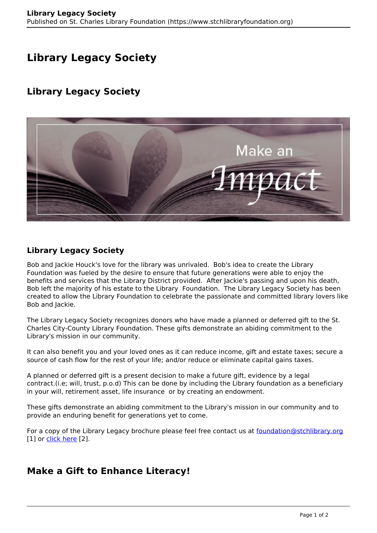# **Library Legacy Society**

## **Library Legacy Society**



### **Library Legacy Society**

Bob and Jackie Houck's love for the library was unrivaled. Bob's idea to create the Library Foundation was fueled by the desire to ensure that future generations were able to enjoy the benefits and services that the Library District provided. After Jackie's passing and upon his death, Bob left the majority of his estate to the Library Foundation. The Library Legacy Society has been created to allow the Library Foundation to celebrate the passionate and committed library lovers like Bob and Jackie.

The Library Legacy Society recognizes donors who have made a planned or deferred gift to the St. Charles City-County Library Foundation. These gifts demonstrate an abiding commitment to the Library's mission in our community.

It can also benefit you and your loved ones as it can reduce income, gift and estate taxes; secure a source of cash flow for the rest of your life; and/or reduce or eliminate capital gains taxes.

A planned or deferred gift is a present decision to make a future gift, evidence by a legal contract.(i.e; will, trust, p.o.d) This can be done by including the Library foundation as a beneficiary in your will, retirement asset, life insurance or by creating an endowment.

These gifts demonstrate an abiding commitment to the Library's mission in our community and to provide an enduring benefit for generations yet to come.

For a copy of the Library Legacy brochure please feel free contact us at [foundation@stchlibrary.org](http://foundation@stchlibrary.org) [1] or [click here](https://www.stchlibraryfoundation.org/sites/default/files/legacybrochure_1.pdf) [2].

### **Make a Gift to Enhance Literacy!**